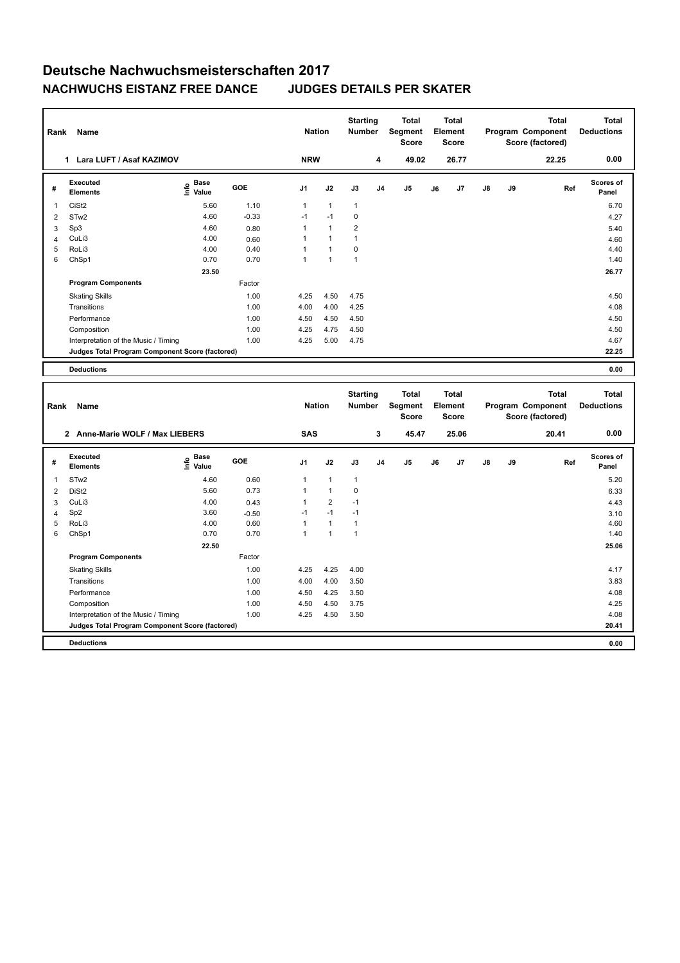## **Deutsche Nachwuchsmeisterschaften 2017 NACHWUCHS EISTANZ FREE DANCE JUDGES DETAILS PER SKATER**